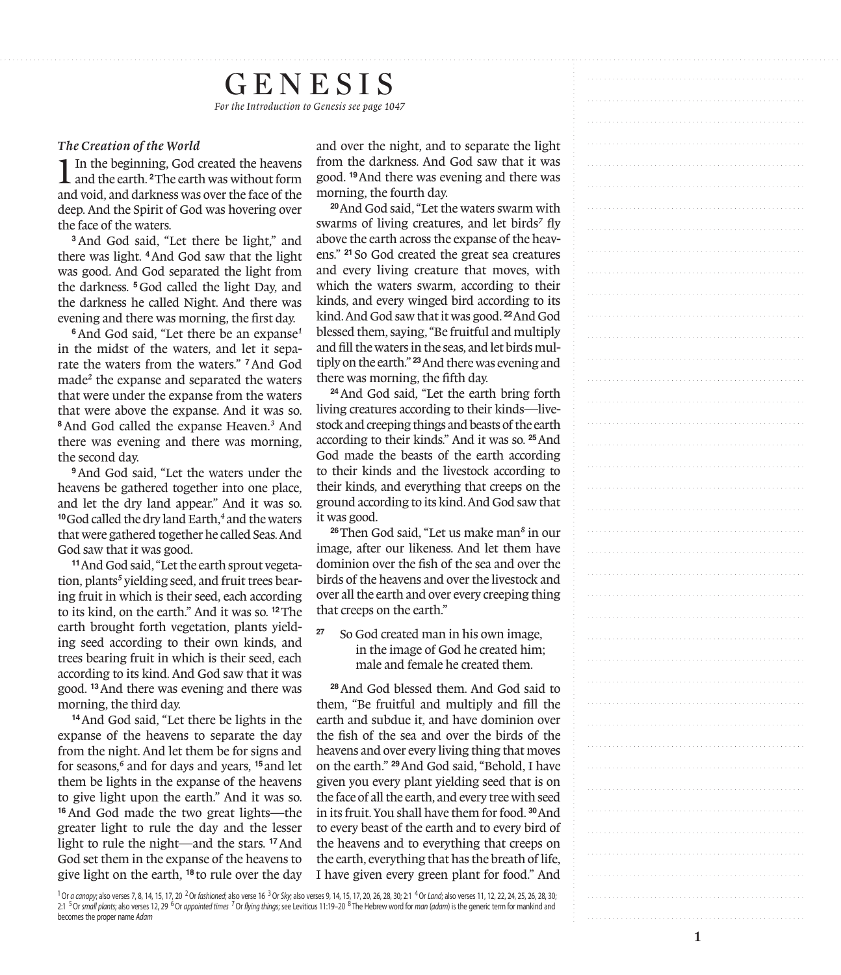# Genesis

*For the Introduction to Genesis see page 1047*

# *The Creation of the World*

1In the beginning, God created the heavens and the earth. **<sup>2</sup>**The earth was without form and void, and darkness was over the face of the deep. And the Spirit of God was hovering over the face of the waters.

**<sup>3</sup>**And God said, "Let there be light," and there was light. **<sup>4</sup>**And God saw that the light was good. And God separated the light from the darkness. **<sup>5</sup>**God called the light Day, and the darkness he called Night. And there was evening and there was morning, the first day.

**<sup>6</sup>**And God said, "Let there be an expanse *1* in the midst of the waters, and let it sepa rate the waters from the waters." **<sup>7</sup>**And God made *2* the expanse and separated the waters that were under the expanse from the waters that were above the expanse. And it was so. **<sup>8</sup>**And God called the expanse Heaven.*3* And there was evening and there was morning, the second day.

**<sup>9</sup>**And God said, "Let the waters under the heavens be gathered together into one place, and let the dry land appear." And it was so. **<sup>10</sup>**God called the dry land Earth, *4* and the waters that were gathered together he called Seas. And God saw that it was good.

**11**And God said, "Let the earth sprout vegetation, plants*5* yielding seed, and fruit trees bearing fruit in which is their seed, each according to its kind, on the earth." And it was so. **<sup>12</sup>**The earth brought forth vegetation, plants yield ing seed according to their own kinds, and trees bearing fruit in which is their seed, each according to its kind. And God saw that it was good. **<sup>13</sup>**And there was evening and there was morning, the third day.

**<sup>14</sup>**And God said, "Let there be lights in the expanse of the heavens to separate the day from the night. And let them be for signs and for seasons, *6* and for days and years, **<sup>15</sup>** and let them be lights in the expanse of the heavens to give light upon the earth." And it was so. **<sup>16</sup>**And God made the two great lights—the greater light to rule the day and the lesser light to rule the night—and the stars. **<sup>17</sup>**And God set them in the expanse of the heavens to give light on the earth, **<sup>18</sup>** to rule over the day

and over the night, and to separate the light from the darkness. And God saw that it was good. **<sup>19</sup>**And there was evening and there was morning, the fourth day.

**<sup>20</sup>**And God said, "Let the waters swarm with swarms of living creatures, and let birds *7* fly above the earth across the expanse of the heav ens." **<sup>21</sup>** So God created the great sea creatures and every living creature that moves, with which the waters swarm, according to their kinds, and every winged bird according to its kind. And God saw that it was good. **<sup>22</sup>**And God blessed them, saying, "Be fruitful and multiply and fill the waters in the seas, and let birds mul tiply on the earth." **<sup>23</sup>**And there was evening and there was morning, the fifth day.

**<sup>24</sup>**And God said, "Let the earth bring forth living creatures according to their kinds—live stock and creeping things and beasts of the earth according to their kinds." And it was so. **<sup>25</sup>**And God made the beasts of the earth according to their kinds and the livestock according to their kinds, and everything that creeps on the ground according to its kind. And God saw that it was good.

**<sup>26</sup>**Then God said, "Let us make man *8* in our image, after our likeness. And let them have dominion over the fish of the sea and over the birds of the heavens and over the livestock and over all the earth and over every creeping thing that creeps on the earth."

**<sup>27</sup>** So God created man in his own image, in the image of God he created him; male and female he created them.

**<sup>28</sup>**And God blessed them. And God said to them, "Be fruitful and multiply and fill the earth and subdue it, and have dominion over the fish of the sea and over the birds of the heavens and over every living thing that moves on the earth." **<sup>29</sup>**And God said, "Behold, I have given you every plant yielding seed that is on the face of all the earth, and every tree with seed in its fruit. You shall have them for food. **<sup>30</sup>**And to every beast of the earth and to every bird of the heavens and to everything that creeps on the earth, everything that has the breath of life, I have given every green plant for food." And

<sup>1</sup> Or *a canopy*; also verses 7, 8, 14, 15, 17, 20 <sup>2</sup> Or *fashioned*; also verse 16 <sup>3</sup> Or *Sky*; also verses 9, 14, 15, 17, 20, 26, 28, 30; 2:1 <sup>4</sup> Or *Land;* also verses 11, 12, 22, 24, 25, 26, 28, 30; 2:1 5Or *small plants*; also verses 12, 29 6Or *appointed times* 7Or *flying things*; see Leviticus 11:19–20 <sup>8</sup> The Hebrew word for *man* (*adam*) is the generic term for mankind and becomes the proper name *Adam*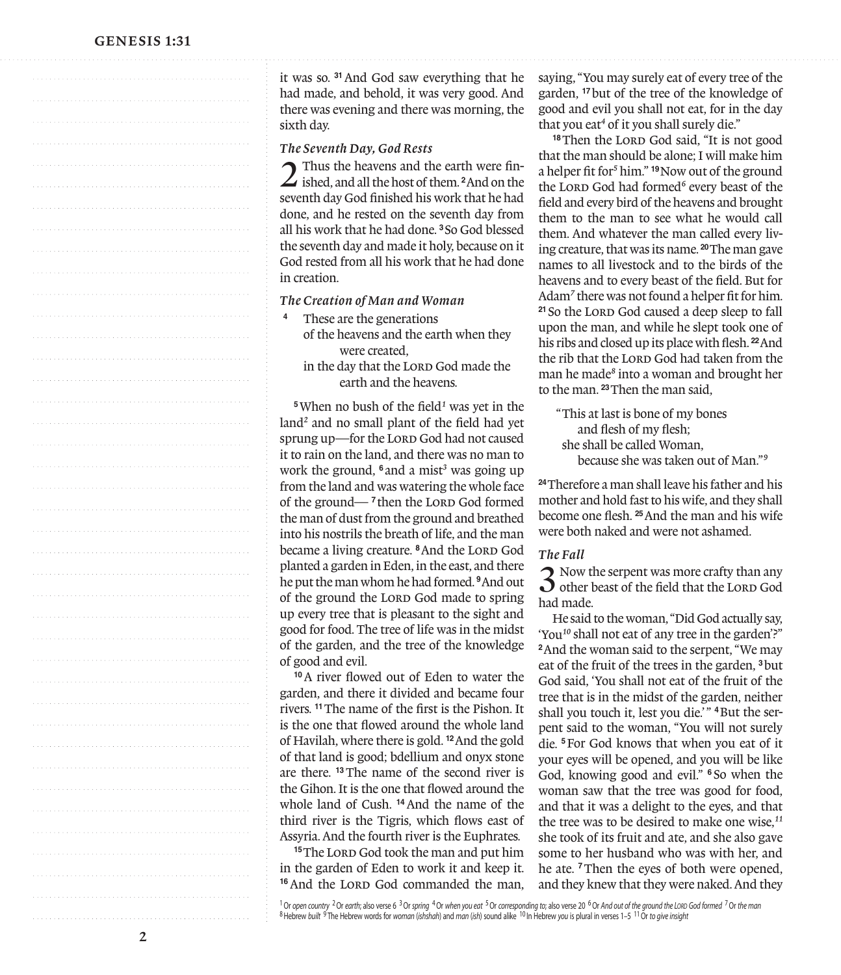## GENESIS 1:31

|   | it was so. 31 And God saw everything that he<br>had made, and behold, it was very good. And                                                       |
|---|---------------------------------------------------------------------------------------------------------------------------------------------------|
|   | there was evening and there was morning, the                                                                                                      |
|   | sixth day.                                                                                                                                        |
|   | The Seventh Day, God Rests                                                                                                                        |
|   | Thus the heavens and the earth were fin-                                                                                                          |
|   | $\angle$ ished, and all the host of them. <sup>2</sup> And on the<br>seventh day God finished his work that he had                                |
|   | done, and he rested on the seventh day from                                                                                                       |
| . | all his work that he had done. <sup>3</sup> So God blessed                                                                                        |
|   | the seventh day and made it holy, because on it<br>God rested from all his work that he had done                                                  |
|   | in creation.                                                                                                                                      |
|   | The Creation of Man and Woman                                                                                                                     |
|   | These are the generations                                                                                                                         |
|   | of the heavens and the earth when they                                                                                                            |
|   | were created.<br>in the day that the LORD God made the                                                                                            |
| . | earth and the heavens.                                                                                                                            |
|   | <sup>5</sup> When no bush of the field <sup>1</sup> was yet in the                                                                                |
|   | land <sup>2</sup> and no small plant of the field had yet                                                                                         |
|   | sprung up-for the LORD God had not caused<br>it to rain on the land, and there was no man to                                                      |
|   | work the ground, 6 and a mist <sup>3</sup> was going up                                                                                           |
|   | from the land and was watering the whole face                                                                                                     |
|   | of the ground— <sup>7</sup> then the LORD God formed<br>the man of dust from the ground and breathed                                              |
|   | into his nostrils the breath of life, and the man                                                                                                 |
| . | became a living creature. <sup>8</sup> And the LORD God<br>planted a garden in Eden, in the east, and there                                       |
|   | he put the man whom he had formed. <sup>9</sup> And out                                                                                           |
|   | of the ground the LORD God made to spring                                                                                                         |
|   | up every tree that is pleasant to the sight and                                                                                                   |
|   | good for food. The tree of life was in the midst<br>of the garden, and the tree of the knowledge                                                  |
| . | of good and evil.                                                                                                                                 |
|   | <sup>10</sup> A river flowed out of Eden to water the                                                                                             |
| . | garden, and there it divided and became four<br>rivers. <sup>11</sup> The name of the first is the Pishon. It                                     |
|   | is the one that flowed around the whole land                                                                                                      |
|   | of Havilah, where there is gold. <sup>12</sup> And the gold                                                                                       |
|   | of that land is good; bdellium and onyx stone<br>are there. <sup>13</sup> The name of the second river is                                         |
|   | the Gihon. It is the one that flowed around the                                                                                                   |
|   | whole land of Cush. <sup>14</sup> And the name of the                                                                                             |
| . | third river is the Tigris, which flows east of<br>Assyria. And the fourth river is the Euphrates.                                                 |
|   | <sup>15</sup> The LORD God took the man and put him                                                                                               |
|   | in the garden of Eden to work it and keep it.                                                                                                     |
|   | <sup>16</sup> And the LORD God commanded the man,                                                                                                 |
|   | <sup>1</sup> Or open country <sup>2</sup> Or earth; also verse 6 <sup>3</sup> Or spring <sup>4</sup> Or when you eat <sup>5</sup> Or correspondin |

#### *The Seventh Day, God Rests*

#### *The Creation of Man and Woman*

- **<sup>4</sup>** These are the generations of the heavens and the earth when they were created,
	- in the day that the LORD God made the earth and the heavens.

saying, "You may surely eat of every tree of the garden, **<sup>17</sup>**but of the tree of the knowledge of good and evil you shall not eat, for in the day that you eat*4* of it you shall surely die."

<sup>18</sup>Then the LORD God said, "It is not good that the man should be alone; I will make him a helper fit for*5* him." **<sup>19</sup>**Now out of the ground the LORD God had formed<sup>6</sup> every beast of the field and every bird of the heavens and brought them to the man to see what he would call them. And whatever the man called every living creature, that was its name. **<sup>20</sup>**The man gave names to all livestock and to the birds of the heavens and to every beast of the field. But for Adam*7* there was not found a helper fit for him. <sup>21</sup> So the LORD God caused a deep sleep to fall upon the man, and while he slept took one of his ribs and closed up its place with flesh. **<sup>22</sup>**And the rib that the LORD God had taken from the man he made*8* into a woman and brought her to the man. **<sup>23</sup>**Then the man said,

"This at last is bone of my bones and flesh of my flesh; she shall be called Woman, because she was taken out of Man."*9*

**<sup>24</sup>**Therefore a man shall leave his father and his mother and hold fast to his wife, and they shall become one flesh. **<sup>25</sup>**And the man and his wife were both naked and were not ashamed.

### *The Fall*

3 Now the serpent was more crafty than any other beast of the field that the Lord God had made.

He said to the woman, "Did God actually say, 'You*10* shall not eat of any tree in the garden'?" **<sup>2</sup>**And the woman said to the serpent, "We may eat of the fruit of the trees in the garden, **<sup>3</sup>**but God said, 'You shall not eat of the fruit of the tree that is in the midst of the garden, neither shall you touch it, lest you die.'" <sup>4</sup>But the serpent said to the woman, "You will not surely die. **<sup>5</sup>**For God knows that when you eat of it your eyes will be opened, and you will be like God, knowing good and evil." **<sup>6</sup>** So when the woman saw that the tree was good for food, and that it was a delight to the eyes, and that the tree was to be desired to make one wise,*11* she took of its fruit and ate, and she also gave some to her husband who was with her, and he ate. **<sup>7</sup>**Then the eyes of both were opened, and they knew that they were naked. And they

<sup>1</sup> Or open country <sup>2</sup> Or earth; also verse 6 <sup>3</sup> Or spring <sup>4</sup> Or when you ear <sup>5</sup> Or corresponding to; also verse 20 <sup>6</sup> Or And out of the ground the LoRD God formed <sup>7</sup> Or the man<br><sup>8</sup>Hebrew built <sup>9</sup> The Hebrew words f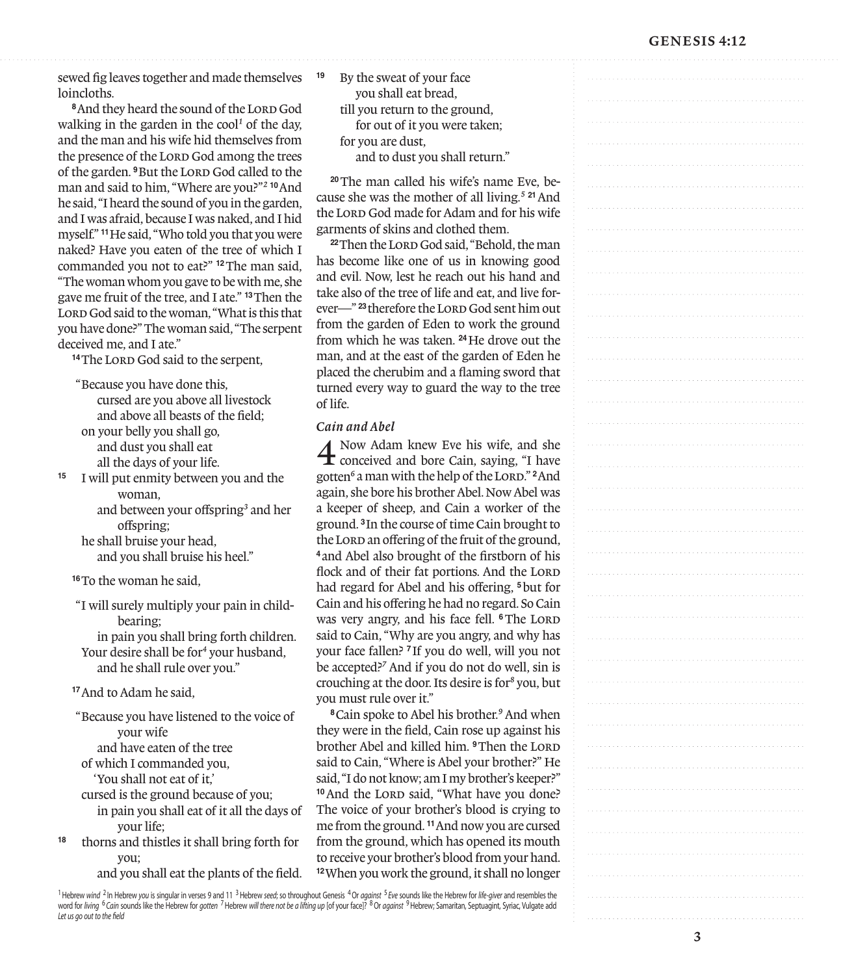# GENESIS 4:12

sewed fig leaves together and made themselves loincloths.

<sup>8</sup> And they heard the sound of the LORD God walking in the garden in the cool*1* of the day, and the man and his wife hid themselves from the presence of the LORD God among the trees of the garden. <sup>9</sup>But the LORD God called to the man and said to him, "Where are you?"*2* **<sup>10</sup>**And he said, "I heard the sound of you in the garden, and I was afraid, because I was naked, and I hid myself." **<sup>11</sup>**He said, "Who told you that you were naked? Have you eaten of the tree of which I commanded you not to eat?" **<sup>12</sup>**The man said, "The woman whom you gave to be with me, she gave me fruit of the tree, and I ate." **<sup>13</sup>**Then the LORD God said to the woman, "What is this that you have done?" The woman said, "The serpent deceived me, and I ate."

<sup>14</sup>The Lord God said to the serpent,

"Because you have done this, cursed are you above all livestock and above all beasts of the field; on your belly you shall go, and dust you shall eat all the days of your life.

**<sup>15</sup>** I will put enmity between you and the woman,

 and between your offspring*3* and her offspring;

 he shall bruise your head, and you shall bruise his heel."

**<sup>16</sup>**To the woman he said,

"I will surely multiply your pain in childbearing; in pain you shall bring forth children. Your desire shall be for*4* your husband, and he shall rule over you."

**<sup>17</sup>**And to Adam he said,

"Because you have listened to the voice of your wife and have eaten of the tree

of which I commanded you,

'You shall not eat of it,'

cursed is the ground because of you;

 in pain you shall eat of it all the days of your life;

**<sup>18</sup>** thorns and thistles it shall bring forth for you;

and you shall eat the plants of the field.

**<sup>19</sup>** By the sweat of your face you shall eat bread, till you return to the ground, for out of it you were taken; for you are dust, and to dust you shall return."

3 Gen e si s 4:12

**20**The man called his wife's name Eve, because she was the mother of all living.*5* **<sup>21</sup>**And the Lord God made for Adam and for his wife garments of skins and clothed them.

**22Then the LORD God said, "Behold, the man** has become like one of us in knowing good and evil. Now, lest he reach out his hand and take also of the tree of life and eat, and live forever<sup>-23</sup>therefore the LORD God sent him out from the garden of Eden to work the ground from which he was taken. **<sup>24</sup>**He drove out the man, and at the east of the garden of Eden he placed the cherubim and a flaming sword that turned every way to guard the way to the tree of life.

### *Cain and Abel*

4 Now Adam knew Eve his wife, and she conceived and bore Cain, saying, "I have gotten<sup>6</sup> a man with the help of the Lord."<sup>2</sup> And again, she bore his brother Abel. Now Abel was a keeper of sheep, and Cain a worker of the ground. **<sup>3</sup>**In the course of time Cain brought to the Lord an offering of the fruit of the ground, **<sup>4</sup>** and Abel also brought of the firstborn of his flock and of their fat portions. And the LORD had regard for Abel and his offering, **<sup>5</sup>**but for Cain and his offering he had no regard. So Cain was very angry, and his face fell. <sup>6</sup>The LORD said to Cain, "Why are you angry, and why has your face fallen? **<sup>7</sup>** If you do well, will you not be accepted?*7* And if you do not do well, sin is crouching at the door. Its desire is for*8* you, but you must rule over it."

**<sup>8</sup>**Cain spoke to Abel his brother.*9* And when they were in the field, Cain rose up against his brother Abel and killed him. <sup>9</sup>Then the LORD said to Cain, "Where is Abel your brother?" He said, "I do not know; am I my brother's keeper?" <sup>10</sup> And the LORD said, "What have you done? The voice of your brother's blood is crying to me from the ground. **<sup>11</sup>**And now you are cursed from the ground, which has opened its mouth to receive your brother's blood from your hand. **<sup>12</sup>**When you work the ground, it shall no longer

1Hebrew *wind* <sup>2</sup> In Hebrew *you* is singular in verses 9 and 11 3Hebrew *seed*; so throughout Genesis 4Or *against* <sup>5</sup> *Eve* sounds like the Hebrew for *life-giver* and resembles the word for *living* <sup>6</sup> *Cain* sounds like the Hebrew for *gotten* 7Hebrew *will there not be a lifting up* [of your face]? 8Or *against* 9Hebrew; Samaritan, Septuagint, Syriac, Vulgate add *Let us go out to the field*

3